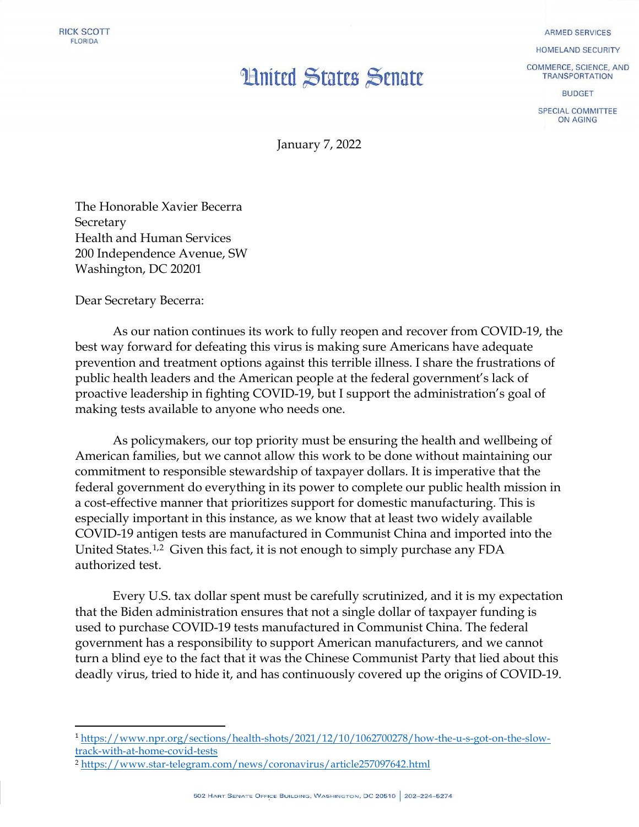## **Hnited States Senate**

**ARMED SERVICES** 

HOMELAND SECURITY

COMMERCE, SCIENCE, AND **TRANSPORTATION** 

**BUDGET** 

SPECIAL COMMITTEE ON AGING

January 7, 2022

The Honorable Xavier Becerra **Secretary** Health and Human Services 200 Independence Avenue, SW Washington, DC 20201

Dear Secretary Becerra:

As our nation continues its work to fully reopen and recover from COVID-19, the best way forward for defeating this virus is making sure Americans have adequate prevention and treatment options against this terrible illness. I share the frustrations of public health leaders and the American people at the federal government's lack of proactive leadership in fighting COVID-19, but I support the administration's goal of making tests available to anyone who needs one.

As policymakers, our top priority must be ensuring the health and wellbeing of American families, but we cannot allow this work to be done without maintaining our commitment to responsible stewardship of taxpayer dollars. It is imperative that the federal government do everything in its power to complete our public health mission in a cost-effective manner that prioritizes support for domestic manufacturing. This is especially important in this instance, as we know that at least two widely available COVID-19 antigen tests are manufactured in Communist China and imported into the United States.[1](#page-0-0),[2](#page-0-1) Given this fact, it is not enough to simply purchase any FDA authorized test.

Every U.S. tax dollar spent must be carefully scrutinized, and it is my expectation that the Biden administration ensures that not a single dollar of taxpayer funding is used to purchase COVID-19 tests manufactured in Communist China. The federal government has a responsibility to support American manufacturers, and we cannot turn a blind eye to the fact that it was the Chinese Communist Party that lied about this deadly virus, tried to hide it, and has continuously covered up the origins of COVID-19.

<span id="page-0-0"></span> <sup>1</sup> [https://www.npr.org/sections/health-shots/2021/12/10/1062700278/how-the-u-s-got-on-the-slow](https://www.npr.org/sections/health-shots/2021/12/10/1062700278/how-the-u-s-got-on-the-slow-track-with-at-home-covid-tests)[track-with-at-home-covid-tests](https://www.npr.org/sections/health-shots/2021/12/10/1062700278/how-the-u-s-got-on-the-slow-track-with-at-home-covid-tests)

<span id="page-0-1"></span><sup>2</sup> <https://www.star-telegram.com/news/coronavirus/article257097642.html>